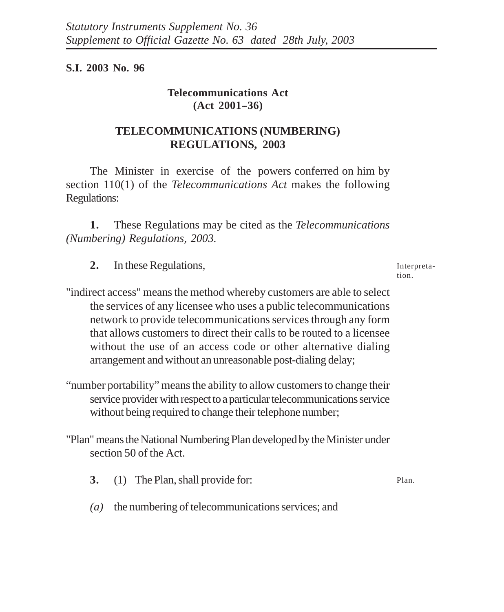**S.I. 2003 No. 96**

## **Telecommunications Act (Act 2001--36)**

## **TELECOMMUNICATIONS (NUMBERING) REGULATIONS, 2003**

The Minister in exercise of the powers conferred on him by section 110(1) of the *Telecommunications Act* makes the following Regulations:

**1.** These Regulations may be cited as the *Telecommunications (Numbering) Regulations, 2003.*

**2.** In these Regulations,

Interpretation.

- "indirect access" means the method whereby customers are able to select the services of any licensee who uses a public telecommunications network to provide telecommunications services through any form that allows customers to direct their calls to be routed to a licensee without the use of an access code or other alternative dialing arrangement and without an unreasonable post-dialing delay;
- "number portability" means the ability to allow customers to change their service provider with respect to a particular telecommunications service without being required to change their telephone number;

"Plan" means the National Numbering Plan developed by the Minister under section 50 of the Act.

- **3.** (1) The Plan, shall provide for: Plan.
- *(a)* the numbering of telecommunications services; and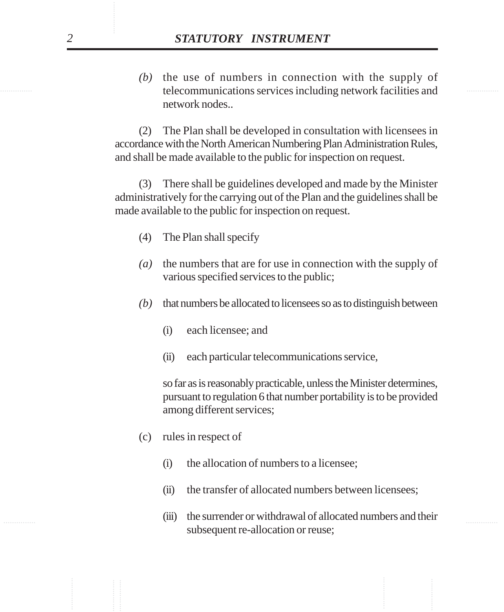telecommunications services including network facilities and *(b)* the use of numbers in connection with the supply of network nodes..

**STATUTORY INSTRUMENT**<br>
(b) the use of numbers in connection with the supply of the theorem method of the subsequent of the subsequent of the exceeding the method of  $(2)$  The Plan shall be developed in consultation with (2) The Plan shall be developed in consultation with licensees in accordance with the North American Numbering Plan Administration Rules, and shall be made available to the public for inspection on request.

(3) There shall be guidelines developed and made by the Minister administratively for the carrying out of the Plan and the guidelines shall be made available to the public for inspection on request.

- (4) The Plan shall specify
- *(a)* the numbers that are for use in connection with the supply of various specified services to the public;
- *(b)* that numbers be allocated to licensees so as to distinguish between
	- (i) each licensee; and
	- (ii) each particular telecommunications service,

so far as is reasonably practicable, unless the Minister determines, pursuant to regulation 6 that number portability is to be provided among different services;

- (c) rules in respect of
	- (i) the allocation of numbers to a licensee;
	- (ii) the transfer of allocated numbers between licensees;
- ............... ............... (iii) the surrender or withdrawal of allocated numbers and their subsequent re-allocation or reuse;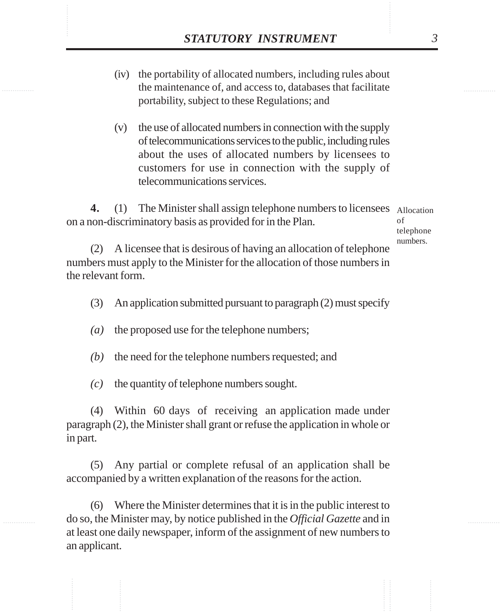- **STATUTORY INSTRUMENT** 3<br>(iv) the portability of allocated numbers, including rules about<br>the maintenance of, and access to, databases that facilitate (iv) the portability of allocated numbers, including rules about the maintenance of, and access to, databases that facilitate portability, subject to these Regulations; and
	- (v) the use of allocated numbers in connection with the supply of telecommunications services to the public, including rules about the uses of allocated numbers by licensees to customers for use in connection with the supply of telecommunications services.

4. (1) The Minister shall assign telephone numbers to licensees Allocation on a non-discriminatory basis as provided for in the Plan. of

telephone numbers.

(2) A licensee that is desirous of having an allocation of telephone numbers must apply to the Minister for the allocation of those numbers in the relevant form.

- (3) An application submitted pursuant to paragraph (2) must specify
- *(a)* the proposed use for the telephone numbers;

*(b)* the need for the telephone numbers requested; and

*(c)* the quantity of telephone numbers sought.

(4) Within 60 days of receiving an application made under paragraph (2), the Minister shall grant or refuse the application in whole or in part.

(5) Any partial or complete refusal of an application shall be accompanied by a written explanation of the reasons for the action.

(6) Where the Minister determines that it is in the public interest to do so, the Minister may, by notice published in the *Official Gazette* and in at least one daily newspaper, inform of the assignment of new numbers to an applicant.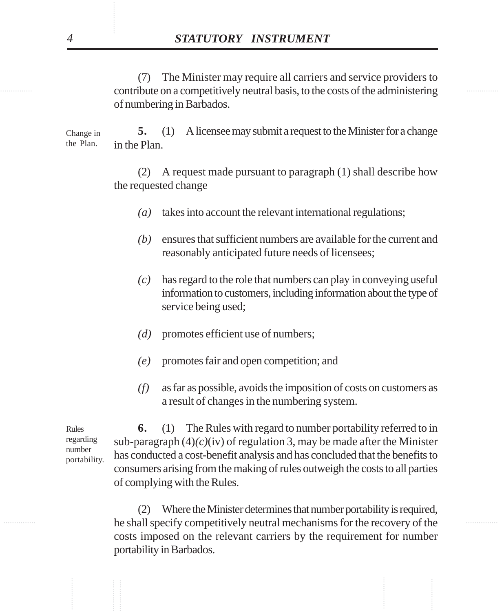contribute on a competitively neutral basis, to the costs of the administering (7) The Minister may require all carriers and service providers to of numbering in Barbados.

> **5.** (1) A licensee may submit a request to the Minister for a change in the Plan. Change in the Plan.

> > (2) A request made pursuant to paragraph (1) shall describe how the requested change

- *(a)* takes into account the relevant international regulations;
- *(b)* ensures that sufficient numbers are available for the current and reasonably anticipated future needs of licensees;
- *(c)* has regard to the role that numbers can play in conveying useful information to customers, including information about the type of service being used;
- *(d)* promotes efficient use of numbers;
- *(e)* promotes fair and open competition; and
- *(f)* as far as possible, avoids the imposition of costs on customers as a result of changes in the numbering system.

Rules regarding number portability.

............... ............... ............... ............... ............... ............... **6.** (1) The Rules with regard to number portability referred to in sub-paragraph  $(4)$ *(c)*(iv) of regulation 3, may be made after the Minister has conducted a cost-benefit analysis and has concluded that the benefits to consumers arising from the making of rules outweigh the costs to all parties of complying with the Rules.

............... ............... he shall specify competitively neutral mechanisms for the recovery of the (2) Where the Minister determines that number portability is required, costs imposed on the relevant carriers by the requirement for number portability in Barbados.